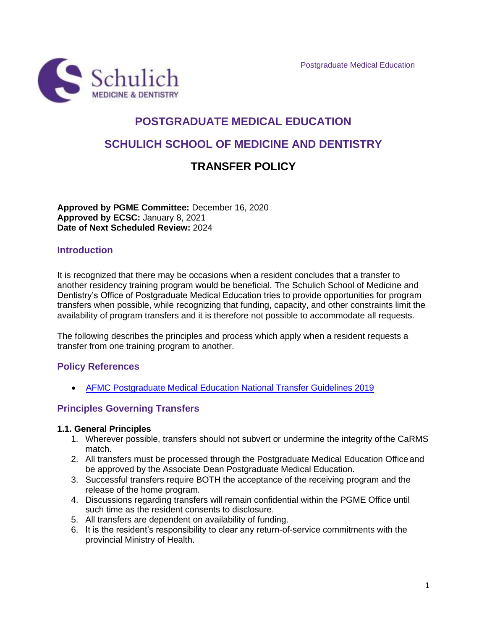

# **POSTGRADUATE MEDICAL EDUCATION SCHULICH SCHOOL OF MEDICINE AND DENTISTRY TRANSFER POLICY**

**Approved by PGME Committee:** December 16, 2020 **Approved by ECSC:** January 8, 2021 **Date of Next Scheduled Review:** 2024

## **Introduction**

It is recognized that there may be occasions when a resident concludes that a transfer to another residency training program would be beneficial. The Schulich School of Medicine and Dentistry's Office of Postgraduate Medical Education tries to provide opportunities for program transfers when possible, while recognizing that funding, capacity, and other constraints limit the availability of program transfers and it is therefore not possible to accommodate all requests.

The following describes the principles and process which apply when a resident requests a transfer from one training program to another.

## **Policy References**

• [AFMC Postgraduate Medical Education National Transfer Guidelines 2019](https://www.schulich.uwo.ca/medicine/postgraduate/academic_resources/Updated-National-Transer-Guidelines.pdf)

## **Principles Governing Transfers**

#### **1.1. General Principles**

- 1. Wherever possible, transfers should not subvert or undermine the integrity ofthe CaRMS match.
- 2. All transfers must be processed through the Postgraduate Medical Education Office and be approved by the Associate Dean Postgraduate Medical Education.
- 3. Successful transfers require BOTH the acceptance of the receiving program and the release of the home program.
- 4. Discussions regarding transfers will remain confidential within the PGME Office until such time as the resident consents to disclosure.
- 5. All transfers are dependent on availability of funding.
- 6. It is the resident's responsibility to clear any return-of-service commitments with the provincial Ministry of Health.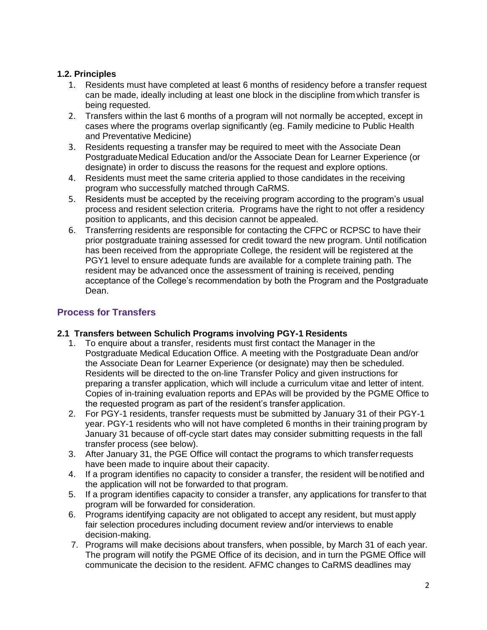# **1.2. Principles**

- 1. Residents must have completed at least 6 months of residency before a transfer request can be made, ideally including at least one block in the discipline from which transfer is being requested.
- 2. Transfers within the last 6 months of a program will not normally be accepted, except in cases where the programs overlap significantly (eg. Family medicine to Public Health and Preventative Medicine)
- 3. Residents requesting a transfer may be required to meet with the Associate Dean Postgraduate Medical Education and/or the Associate Dean for Learner Experience (or designate) in order to discuss the reasons for the request and explore options.
- 4. Residents must meet the same criteria applied to those candidates in the receiving program who successfully matched through CaRMS.
- 5. Residents must be accepted by the receiving program according to the program's usual process and resident selection criteria. Programs have the right to not offer a residency position to applicants, and this decision cannot be appealed.
- 6. Transferring residents are responsible for contacting the CFPC or RCPSC to have their prior postgraduate training assessed for credit toward the new program. Until notification has been received from the appropriate College, the resident will be registered at the PGY1 level to ensure adequate funds are available for a complete training path. The resident may be advanced once the assessment of training is received, pending acceptance of the College's recommendation by both the Program and the Postgraduate Dean.

# **Process for Transfers**

# **2.1 Transfers between Schulich Programs involving PGY-1 Residents**

- 1. To enquire about a transfer, residents must first contact the Manager in the Postgraduate Medical Education Office. A meeting with the Postgraduate Dean and/or the Associate Dean for Learner Experience (or designate) may then be scheduled. Residents will be directed to the on-line Transfer Policy and given instructions for preparing a transfer application, which will include a curriculum vitae and letter of intent. Copies of in-training evaluation reports and EPAs will be provided by the PGME Office to the requested program as part of the resident's transfer application.
- 2. For PGY-1 residents, transfer requests must be submitted by January 31 of their PGY-1 year. PGY-1 residents who will not have completed 6 months in their training program by January 31 because of off-cycle start dates may consider submitting requests in the fall transfer process (see below).
- 3. After January 31, the PGE Office will contact the programs to which transferrequests have been made to inquire about their capacity.
- 4. If a program identifies no capacity to consider a transfer, the resident will benotified and the application will not be forwarded to that program.
- 5. If a program identifies capacity to consider a transfer, any applications for transferto that program will be forwarded for consideration.
- 6. Programs identifying capacity are not obligated to accept any resident, but must apply fair selection procedures including document review and/or interviews to enable decision-making.
- 7. Programs will make decisions about transfers, when possible, by March 31 of each year. The program will notify the PGME Office of its decision, and in turn the PGME Office will communicate the decision to the resident. AFMC changes to CaRMS deadlines may